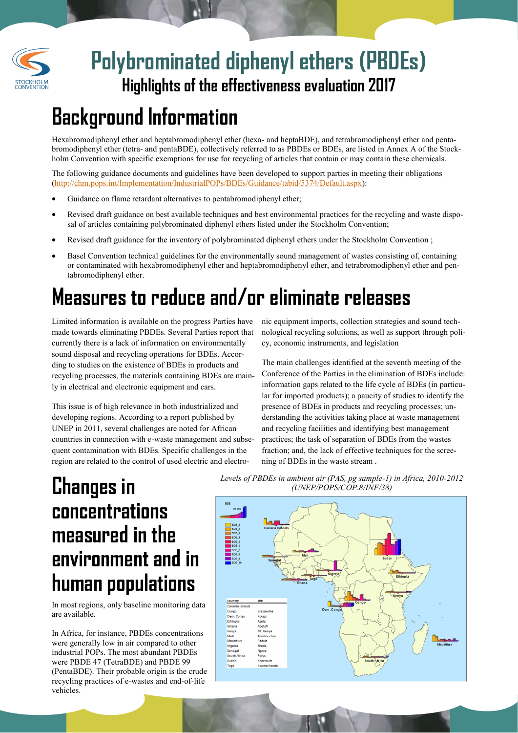

# **Highlights of the effectiveness evaluation 2017 Polybrominated diphenyl ethers (PBDEs)**

### **Background Information**

Hexabromodiphenyl ether and heptabromodiphenyl ether (hexa- and heptaBDE), and tetrabromodiphenyl ether and pentabromodiphenyl ether (tetra- and pentaBDE), collectively referred to as PBDEs or BDEs, are listed in Annex A of the Stockholm Convention with specific exemptions for use for recycling of articles that contain or may contain these chemicals.

The following guidance documents and guidelines have been developed to support parties in meeting their obligations ([http://chm.pops.int/Implementation/IndustrialPOPs/BDEs/Guidance/tabid/5374/Default.aspx\)](http://chm.pops.int/Implementation/IndustrialPOPs/BDEs/Guidance/tabid/5374/Default.aspx):

- Guidance on flame retardant alternatives to pentabromodiphenyl ether;
- Revised draft guidance on best available techniques and best environmental practices for the recycling and waste disposal of articles containing polybrominated diphenyl ethers listed under the Stockholm Convention;
- Revised draft guidance for the inventory of polybrominated diphenyl ethers under the Stockholm Convention ;
- Basel Convention technical guidelines for the environmentally sound management of wastes consisting of, containing or contaminated with hexabromodiphenyl ether and heptabromodiphenyl ether, and tetrabromodiphenyl ether and pentabromodiphenyl ether.

# **Measures to reduce and/or eliminate releases**

Limited information is available on the progress Parties have made towards eliminating PBDEs. Several Parties report that currently there is a lack of information on environmentally sound disposal and recycling operations for BDEs. According to studies on the existence of BDEs in products and recycling processes, the materials containing BDEs are mainly in electrical and electronic equipment and cars.

This issue is of high relevance in both industrialized and developing regions. According to a report published by UNEP in 2011, several challenges are noted for African countries in connection with e-waste management and subsequent contamination with BDEs. Specific challenges in the region are related to the control of used electric and electro-

nic equipment imports, collection strategies and sound technological recycling solutions, as well as support through policy, economic instruments, and legislation

The main challenges identified at the seventh meeting of the Conference of the Parties in the elimination of BDEs include: information gaps related to the life cycle of BDEs (in particular for imported products); a paucity of studies to identify the presence of BDEs in products and recycling processes; understanding the activities taking place at waste management and recycling facilities and identifying best management practices; the task of separation of BDEs from the wastes fraction; and, the lack of effective techniques for the screening of BDEs in the waste stream .

# **Changes in concentrations measured in the environment and in human populations**

In most regions, only baseline monitoring data are available.

In Africa, for instance, PBDEs concentrations were generally low in air compared to other industrial POPs. The most abundant PBDEs were PBDE 47 (TetraBDE) and PBDE 99 (PentaBDE). Their probable origin is the crude recycling practices of e-wastes and end-of-life vehicles.

*Levels of PBDEs in ambient air (PAS, pg sample-1) in Africa, 2010-2012 (UNEP/POPS/COP.8/INF/38)*